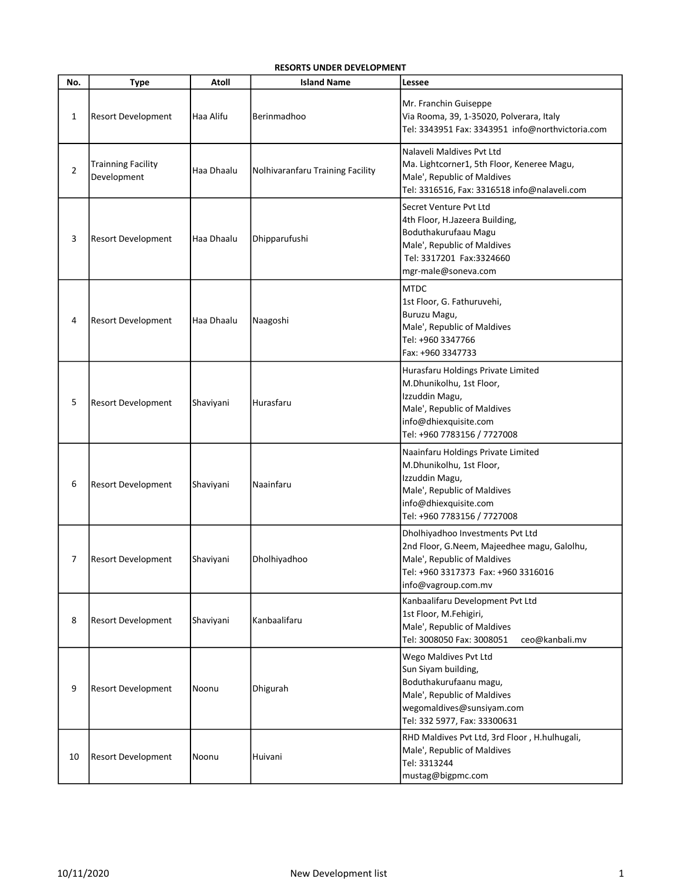## RESORTS UNDER DEVELOPMENT

| No.            | <b>Type</b>                              | Atoll      | <b>Island Name</b>               | Lessee                                                                                                                                                                       |
|----------------|------------------------------------------|------------|----------------------------------|------------------------------------------------------------------------------------------------------------------------------------------------------------------------------|
| 1              | <b>Resort Development</b>                | Haa Alifu  | Berinmadhoo                      | Mr. Franchin Guiseppe<br>Via Rooma, 39, 1-35020, Polverara, Italy<br>Tel: 3343951 Fax: 3343951 info@northvictoria.com                                                        |
| $\overline{2}$ | <b>Trainning Facility</b><br>Development | Haa Dhaalu | Nolhivaranfaru Training Facility | Nalaveli Maldives Pvt Ltd<br>Ma. Lightcorner1, 5th Floor, Keneree Magu,<br>Male', Republic of Maldives<br>Tel: 3316516, Fax: 3316518 info@nalaveli.com                       |
| 3              | <b>Resort Development</b>                | Haa Dhaalu | Dhipparufushi                    | Secret Venture Pyt Ltd<br>4th Floor, H.Jazeera Building,<br>Boduthakurufaau Magu<br>Male', Republic of Maldives<br>Tel: 3317201 Fax:3324660<br>mgr-male@soneva.com           |
| 4              | <b>Resort Development</b>                | Haa Dhaalu | Naagoshi                         | <b>MTDC</b><br>1st Floor, G. Fathuruvehi,<br>Buruzu Magu,<br>Male', Republic of Maldives<br>Tel: +960 3347766<br>Fax: +960 3347733                                           |
| 5              | <b>Resort Development</b>                | Shaviyani  | Hurasfaru                        | Hurasfaru Holdings Private Limited<br>M.Dhunikolhu, 1st Floor,<br>Izzuddin Magu,<br>Male', Republic of Maldives<br>info@dhiexquisite.com<br>Tel: +960 7783156 / 7727008      |
| 6              | <b>Resort Development</b>                | Shaviyani  | Naainfaru                        | Naainfaru Holdings Private Limited<br>M.Dhunikolhu, 1st Floor,<br>Izzuddin Magu,<br>Male', Republic of Maldives<br>info@dhiexquisite.com<br>Tel: +960 7783156 / 7727008      |
| 7              | <b>Resort Development</b>                | Shaviyani  | Dholhiyadhoo                     | Dholhiyadhoo Investments Pvt Ltd<br>2nd Floor, G.Neem, Majeedhee magu, Galolhu,<br>Male', Republic of Maldives<br>Tel: +960 3317373 Fax: +960 3316016<br>info@vagroup.com.mv |
| 8              | <b>Resort Development</b>                | Shaviyani  | Kanbaalifaru                     | Kanbaalifaru Development Pvt Ltd<br>1st Floor, M.Fehigiri,<br>Male', Republic of Maldives<br>Tel: 3008050 Fax: 3008051<br>ceo@kanbali.mv                                     |
| 9              | <b>Resort Development</b>                | Noonu      | Dhigurah                         | Wego Maldives Pvt Ltd<br>Sun Siyam building,<br>Boduthakurufaanu magu,<br>Male', Republic of Maldives<br>wegomaldives@sunsiyam.com<br>Tel: 332 5977, Fax: 33300631           |
| 10             | <b>Resort Development</b>                | Noonu      | Huivani                          | RHD Maldives Pvt Ltd, 3rd Floor, H.hulhugali,<br>Male', Republic of Maldives<br>Tel: 3313244<br>mustag@bigpmc.com                                                            |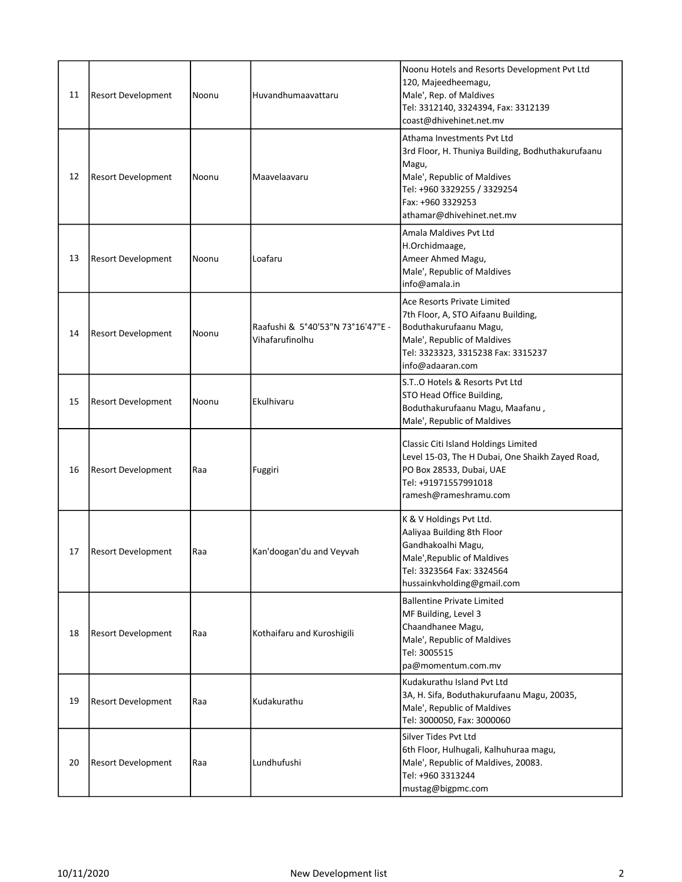| 11 | <b>Resort Development</b> | Noonu | Huvandhumaavattaru                                   | Noonu Hotels and Resorts Development Pvt Ltd<br>120, Majeedheemagu,<br>Male', Rep. of Maldives<br>Tel: 3312140, 3324394, Fax: 3312139<br>coast@dhivehinet.net.mv                                         |
|----|---------------------------|-------|------------------------------------------------------|----------------------------------------------------------------------------------------------------------------------------------------------------------------------------------------------------------|
| 12 | <b>Resort Development</b> | Noonu | Maavelaavaru                                         | Athama Investments Pvt Ltd<br>3rd Floor, H. Thuniya Building, Bodhuthakurufaanu<br>Magu,<br>Male', Republic of Maldives<br>Tel: +960 3329255 / 3329254<br>Fax: +960 3329253<br>athamar@dhivehinet.net.mv |
| 13 | <b>Resort Development</b> | Noonu | Loafaru                                              | Amala Maldives Pvt Ltd<br>H.Orchidmaage,<br>Ameer Ahmed Magu,<br>Male', Republic of Maldives<br>info@amala.in                                                                                            |
| 14 | <b>Resort Development</b> | Noonu | Raafushi & 5°40'53"N 73°16'47"E -<br>Vihafarufinolhu | Ace Resorts Private Limited<br>7th Floor, A, STO Aifaanu Building,<br>Boduthakurufaanu Magu,<br>Male', Republic of Maldives<br>Tel: 3323323, 3315238 Fax: 3315237<br>info@adaaran.com                    |
| 15 | <b>Resort Development</b> | Noonu | Ekulhivaru                                           | S.TO Hotels & Resorts Pvt Ltd<br>STO Head Office Building,<br>Boduthakurufaanu Magu, Maafanu,<br>Male', Republic of Maldives                                                                             |
| 16 | <b>Resort Development</b> | Raa   | Fuggiri                                              | Classic Citi Island Holdings Limited<br>Level 15-03, The H Dubai, One Shaikh Zayed Road,<br>PO Box 28533, Dubai, UAE<br>Tel: +91971557991018<br>ramesh@rameshramu.com                                    |
| 17 | <b>Resort Development</b> | Raa   | Kan'doogan'du and Veyvah                             | K & V Holdings Pvt Ltd.<br>Aaliyaa Building 8th Floor<br>Gandhakoalhi Magu,<br>Male', Republic of Maldives<br>Tel: 3323564 Fax: 3324564<br>hussainkvholding@gmail.com                                    |
| 18 | <b>Resort Development</b> | Raa   | Kothaifaru and Kuroshigili                           | <b>Ballentine Private Limited</b><br>MF Building, Level 3<br>Chaandhanee Magu,<br>Male', Republic of Maldives<br>Tel: 3005515<br>pa@momentum.com.mv                                                      |
| 19 | <b>Resort Development</b> | Raa   | Kudakurathu                                          | Kudakurathu Island Pvt Ltd<br>3A, H. Sifa, Boduthakurufaanu Magu, 20035,<br>Male', Republic of Maldives<br>Tel: 3000050, Fax: 3000060                                                                    |
| 20 | <b>Resort Development</b> | Raa   | Lundhufushi                                          | Silver Tides Pvt Ltd<br>6th Floor, Hulhugali, Kalhuhuraa magu,<br>Male', Republic of Maldives, 20083.<br>Tel: +960 3313244<br>mustag@bigpmc.com                                                          |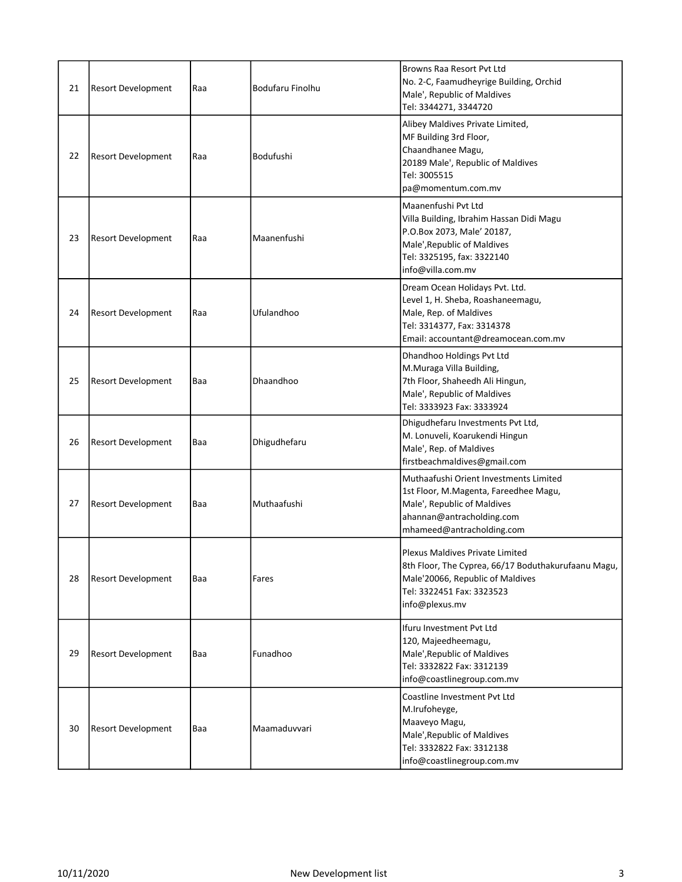| 21 | <b>Resort Development</b> | Raa | Bodufaru Finolhu | Browns Raa Resort Pyt Ltd<br>No. 2-C, Faamudheyrige Building, Orchid<br>Male', Republic of Maldives<br>Tel: 3344271, 3344720                                                    |
|----|---------------------------|-----|------------------|---------------------------------------------------------------------------------------------------------------------------------------------------------------------------------|
| 22 | Resort Development        | Raa | Bodufushi        | Alibey Maldives Private Limited,<br>MF Building 3rd Floor,<br>Chaandhanee Magu,<br>20189 Male', Republic of Maldives<br>Tel: 3005515<br>pa@momentum.com.mv                      |
| 23 | <b>Resort Development</b> | Raa | Maanenfushi      | Maanenfushi Pvt Ltd<br>Villa Building, Ibrahim Hassan Didi Magu<br>P.O.Box 2073, Male' 20187,<br>Male', Republic of Maldives<br>Tel: 3325195, fax: 3322140<br>info@villa.com.mv |
| 24 | <b>Resort Development</b> | Raa | Ufulandhoo       | Dream Ocean Holidays Pvt. Ltd.<br>Level 1, H. Sheba, Roashaneemagu,<br>Male, Rep. of Maldives<br>Tel: 3314377, Fax: 3314378<br>Email: accountant@dreamocean.com.mv              |
| 25 | <b>Resort Development</b> | Baa | Dhaandhoo        | Dhandhoo Holdings Pvt Ltd<br>M.Muraga Villa Building,<br>7th Floor, Shaheedh Ali Hingun,<br>Male', Republic of Maldives<br>Tel: 3333923 Fax: 3333924                            |
| 26 | <b>Resort Development</b> | Baa | Dhigudhefaru     | Dhigudhefaru Investments Pvt Ltd,<br>M. Lonuveli, Koarukendi Hingun<br>Male', Rep. of Maldives<br>firstbeachmaldives@gmail.com                                                  |
| 27 | <b>Resort Development</b> | Baa | Muthaafushi      | Muthaafushi Orient Investments Limited<br>1st Floor, M.Magenta, Fareedhee Magu,<br>Male', Republic of Maldives<br>ahannan@antracholding.com<br>mhameed@antracholding.com        |
| 28 | <b>Resort Development</b> | Baa | Fares            | Plexus Maldives Private Limited<br>8th Floor, The Cyprea, 66/17 Boduthakurufaanu Magu,<br>Male'20066, Republic of Maldives<br>Tel: 3322451 Fax: 3323523<br>info@plexus.mv       |
| 29 | <b>Resort Development</b> | Baa | Funadhoo         | Ifuru Investment Pvt Ltd<br>120, Majeedheemagu,<br>Male', Republic of Maldives<br>Tel: 3332822 Fax: 3312139<br>info@coastlinegroup.com.mv                                       |
| 30 | <b>Resort Development</b> | Baa | Maamaduvvari     | Coastline Investment Pvt Ltd<br>M.Irufoheyge,<br>Maaveyo Magu,<br>Male', Republic of Maldives<br>Tel: 3332822 Fax: 3312138<br>info@coastlinegroup.com.mv                        |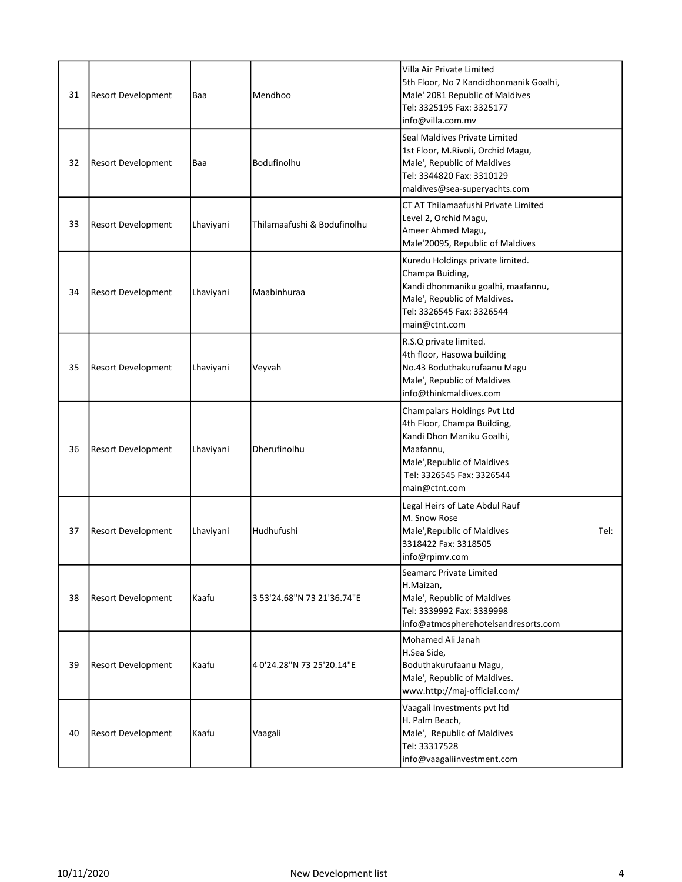| 31 | <b>Resort Development</b> | Baa       | Mendhoo                     | Villa Air Private Limited<br>5th Floor, No 7 Kandidhonmanik Goalhi,<br>Male' 2081 Republic of Maldives<br>Tel: 3325195 Fax: 3325177<br>info@villa.com.mv                          |
|----|---------------------------|-----------|-----------------------------|-----------------------------------------------------------------------------------------------------------------------------------------------------------------------------------|
| 32 | <b>Resort Development</b> | Baa       | Bodufinolhu                 | Seal Maldives Private Limited<br>1st Floor, M.Rivoli, Orchid Magu,<br>Male', Republic of Maldives<br>Tel: 3344820 Fax: 3310129<br>maldives@sea-superyachts.com                    |
| 33 | <b>Resort Development</b> | Lhaviyani | Thilamaafushi & Bodufinolhu | CT AT Thilamaafushi Private Limited<br>Level 2, Orchid Magu,<br>Ameer Ahmed Magu,<br>Male'20095, Republic of Maldives                                                             |
| 34 | <b>Resort Development</b> | Lhaviyani | Maabinhuraa                 | Kuredu Holdings private limited.<br>Champa Buiding,<br>Kandi dhonmaniku goalhi, maafannu,<br>Male', Republic of Maldives.<br>Tel: 3326545 Fax: 3326544<br>main@ctnt.com           |
| 35 | <b>Resort Development</b> | Lhaviyani | Veyvah                      | R.S.Q private limited.<br>4th floor, Hasowa building<br>No.43 Boduthakurufaanu Magu<br>Male', Republic of Maldives<br>info@thinkmaldives.com                                      |
| 36 | <b>Resort Development</b> | Lhaviyani | Dherufinolhu                | Champalars Holdings Pvt Ltd<br>4th Floor, Champa Building,<br>Kandi Dhon Maniku Goalhi,<br>Maafannu,<br>Male', Republic of Maldives<br>Tel: 3326545 Fax: 3326544<br>main@ctnt.com |
| 37 | <b>Resort Development</b> | Lhaviyani | Hudhufushi                  | Legal Heirs of Late Abdul Rauf<br>M. Snow Rose<br>Male', Republic of Maldives<br>Tel:<br>3318422 Fax: 3318505<br>info@rpimv.com                                                   |
| 38 | <b>Resort Development</b> | Kaafu     | 3 53'24.68"N 73 21'36.74"E  | Seamarc Private Limited<br>H.Maizan,<br>Male', Republic of Maldives<br>Tel: 3339992 Fax: 3339998<br>info@atmospherehotelsandresorts.com                                           |
| 39 | <b>Resort Development</b> | Kaafu     | 40'24.28"N 73 25'20.14"E    | Mohamed Ali Janah<br>H.Sea Side,<br>Boduthakurufaanu Magu,<br>Male', Republic of Maldives.<br>www.http://maj-official.com/                                                        |
| 40 | <b>Resort Development</b> | Kaafu     | Vaagali                     | Vaagali Investments pvt ltd<br>H. Palm Beach,<br>Male', Republic of Maldives<br>Tel: 33317528<br>info@vaagaliinvestment.com                                                       |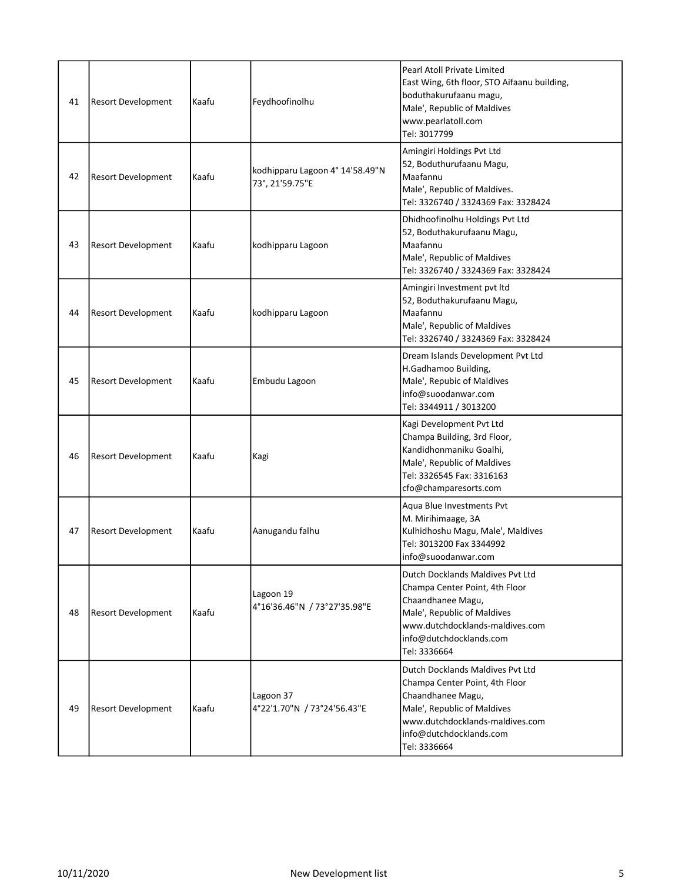| 41 | <b>Resort Development</b> | Kaafu | Feydhoofinolhu                                     | Pearl Atoll Private Limited<br>East Wing, 6th floor, STO Aifaanu building,<br>boduthakurufaanu magu,<br>Male', Republic of Maldives<br>www.pearlatoll.com<br>Tel: 3017799                            |
|----|---------------------------|-------|----------------------------------------------------|------------------------------------------------------------------------------------------------------------------------------------------------------------------------------------------------------|
| 42 | <b>Resort Development</b> | Kaafu | kodhipparu Lagoon 4° 14'58.49"N<br>73°, 21'59.75"E | Amingiri Holdings Pvt Ltd<br>52, Boduthurufaanu Magu,<br>Maafannu<br>Male', Republic of Maldives.<br>Tel: 3326740 / 3324369 Fax: 3328424                                                             |
| 43 | <b>Resort Development</b> | Kaafu | kodhipparu Lagoon                                  | Dhidhoofinolhu Holdings Pvt Ltd<br>52, Boduthakurufaanu Magu,<br>Maafannu<br>Male', Republic of Maldives<br>Tel: 3326740 / 3324369 Fax: 3328424                                                      |
| 44 | <b>Resort Development</b> | Kaafu | kodhipparu Lagoon                                  | Amingiri Investment pvt ltd<br>52, Boduthakurufaanu Magu,<br>Maafannu<br>Male', Republic of Maldives<br>Tel: 3326740 / 3324369 Fax: 3328424                                                          |
| 45 | <b>Resort Development</b> | Kaafu | Embudu Lagoon                                      | Dream Islands Development Pvt Ltd<br>H.Gadhamoo Building,<br>Male', Repubic of Maldives<br>info@suoodanwar.com<br>Tel: 3344911 / 3013200                                                             |
| 46 | <b>Resort Development</b> | Kaafu | Kagi                                               | Kagi Development Pvt Ltd<br>Champa Building, 3rd Floor,<br>Kandidhonmaniku Goalhi,<br>Male', Republic of Maldives<br>Tel: 3326545 Fax: 3316163<br>cfo@champaresorts.com                              |
| 47 | <b>Resort Development</b> | Kaafu | Aanugandu falhu                                    | Aqua Blue Investments Pvt<br>M. Mirihimaage, 3A<br>Kulhidhoshu Magu, Male', Maldives<br>Tel: 3013200 Fax 3344992<br>info@suoodanwar.com                                                              |
| 48 | <b>Resort Development</b> | Kaafu | Lagoon 19<br>4°16'36.46"N / 73°27'35.98"E          | Dutch Docklands Maldives Pyt Ltd<br>Champa Center Point, 4th Floor<br>Chaandhanee Magu,<br>Male', Republic of Maldives<br>www.dutchdocklands-maldives.com<br>info@dutchdocklands.com<br>Tel: 3336664 |
| 49 | <b>Resort Development</b> | Kaafu | Lagoon 37<br>4°22'1.70"N / 73°24'56.43"E           | Dutch Docklands Maldives Pvt Ltd<br>Champa Center Point, 4th Floor<br>Chaandhanee Magu,<br>Male', Republic of Maldives<br>www.dutchdocklands-maldives.com<br>info@dutchdocklands.com<br>Tel: 3336664 |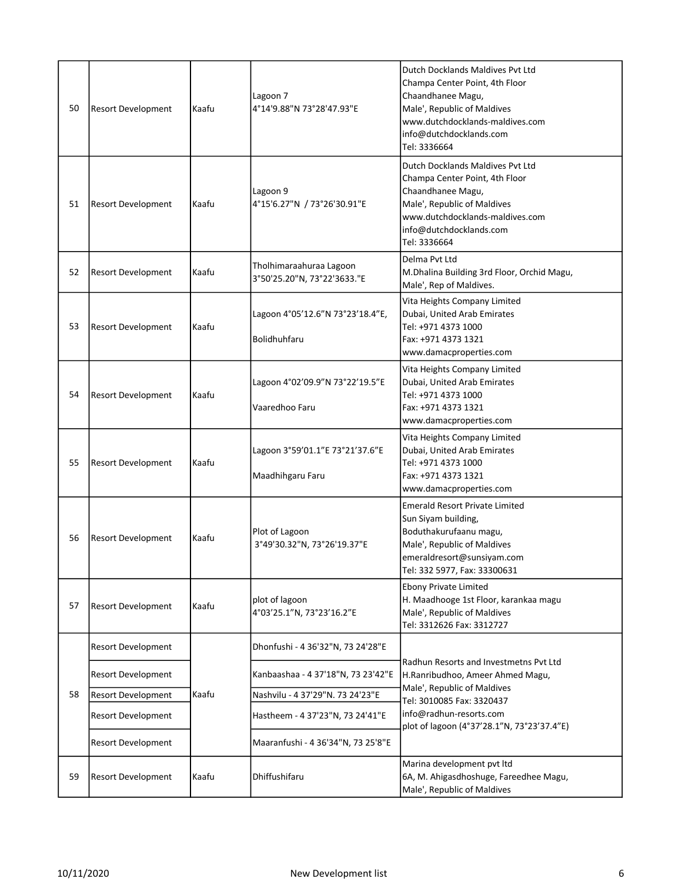| 50 | <b>Resort Development</b> | Kaafu | Lagoon 7<br>4°14'9.88"N 73°28'47.93"E                  | Dutch Docklands Maldives Pvt Ltd<br>Champa Center Point, 4th Floor<br>Chaandhanee Magu,<br>Male', Republic of Maldives<br>www.dutchdocklands-maldives.com<br>info@dutchdocklands.com<br>Tel: 3336664  |
|----|---------------------------|-------|--------------------------------------------------------|-------------------------------------------------------------------------------------------------------------------------------------------------------------------------------------------------------|
| 51 | <b>Resort Development</b> | Kaafu | Lagoon 9<br>4°15'6.27"N / 73°26'30.91"E                | Dutch Docklands Maldives Pyt Ltd<br>Champa Center Point, 4th Floor<br>Chaandhanee Magu,<br>Male', Republic of Maldives<br>lwww.dutchdocklands-maldives.com<br>info@dutchdocklands.com<br>Tel: 3336664 |
| 52 | <b>Resort Development</b> | Kaafu | Tholhimaraahuraa Lagoon<br>3°50'25.20"N, 73°22'3633."E | Delma Pvt Ltd<br>M.Dhalina Building 3rd Floor, Orchid Magu,<br>Male', Rep of Maldives.                                                                                                                |
| 53 | <b>Resort Development</b> | Kaafu | Lagoon 4°05'12.6"N 73°23'18.4"E,<br>Bolidhuhfaru       | Vita Heights Company Limited<br>Dubai, United Arab Emirates<br>Tel: +971 4373 1000<br>Fax: +971 4373 1321<br>www.damacproperties.com                                                                  |
| 54 | <b>Resort Development</b> | Kaafu | Lagoon 4°02'09.9"N 73°22'19.5"E<br>Vaaredhoo Faru      | Vita Heights Company Limited<br>Dubai, United Arab Emirates<br>Tel: +971 4373 1000<br>Fax: +971 4373 1321<br>www.damacproperties.com                                                                  |
| 55 | <b>Resort Development</b> | Kaafu | Lagoon 3°59'01.1"E 73°21'37.6"E<br>Maadhihgaru Faru    | Vita Heights Company Limited<br>Dubai, United Arab Emirates<br>Tel: +971 4373 1000<br>Fax: +971 4373 1321<br>www.damacproperties.com                                                                  |
| 56 | <b>Resort Development</b> | Kaafu | Plot of Lagoon<br>3°49'30.32"N, 73°26'19.37"E          | <b>Emerald Resort Private Limited</b><br>Sun Siyam building,<br>Boduthakurufaanu magu,<br>Male', Republic of Maldives<br>emeraldresort@sunsiyam.com<br>Tel: 332 5977, Fax: 33300631                   |
| 57 | <b>Resort Development</b> | Kaafu | plot of lagoon<br>4°03'25.1"N, 73°23'16.2"E            | <b>Ebony Private Limited</b><br>H. Maadhooge 1st Floor, karankaa magu<br>Male', Republic of Maldives<br>Tel: 3312626 Fax: 3312727                                                                     |
|    | <b>Resort Development</b> |       | Dhonfushi - 4 36'32"N, 73 24'28"E                      |                                                                                                                                                                                                       |
|    | <b>Resort Development</b> |       | Kanbaashaa - 4 37'18"N, 73 23'42"E                     | Radhun Resorts and Investmetns Pvt Ltd<br>H.Ranribudhoo, Ameer Ahmed Magu,                                                                                                                            |
| 58 | <b>Resort Development</b> | Kaafu | Nashvilu - 4 37'29"N. 73 24'23"E                       | Male', Republic of Maldives<br>Tel: 3010085 Fax: 3320437                                                                                                                                              |
|    | <b>Resort Development</b> |       | Hastheem - 4 37'23"N, 73 24'41"E                       | info@radhun-resorts.com<br>plot of lagoon (4°37'28.1"N, 73°23'37.4"E)                                                                                                                                 |
|    | <b>Resort Development</b> |       | Maaranfushi - 4 36'34"N, 73 25'8"E                     |                                                                                                                                                                                                       |
| 59 | <b>Resort Development</b> | Kaafu | Dhiffushifaru                                          | Marina development pvt ltd<br>6A, M. Ahigasdhoshuge, Fareedhee Magu,<br>Male', Republic of Maldives                                                                                                   |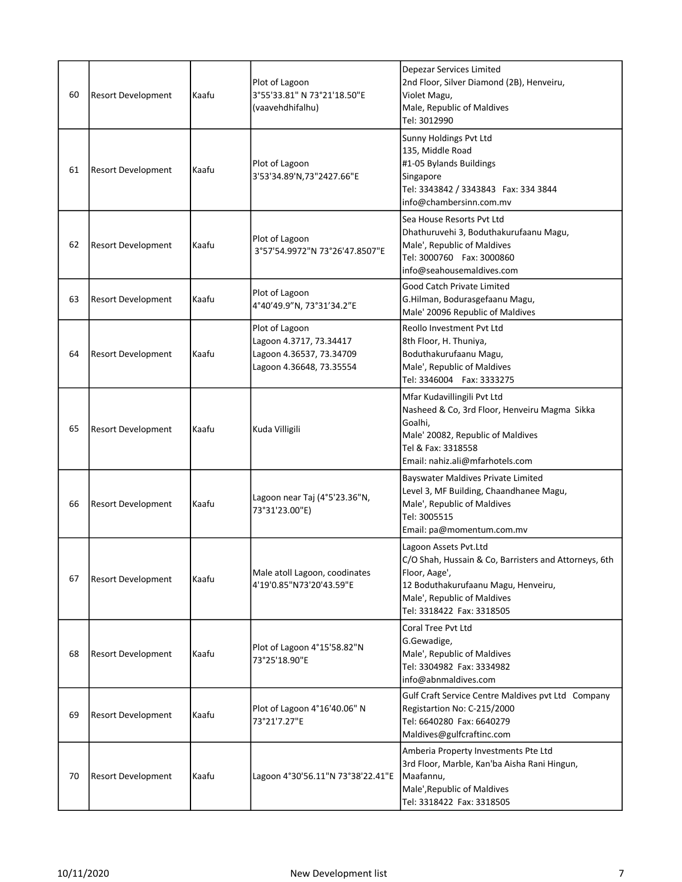| 60 | <b>Resort Development</b> | Kaafu | Plot of Lagoon<br>3°55'33.81" N 73°21'18.50"E<br>(vaavehdhifalhu)                                 | <b>Depezar Services Limited</b><br>2nd Floor, Silver Diamond (2B), Henveiru,<br>Violet Magu,<br>Male, Republic of Maldives<br>Tel: 3012990                                                         |
|----|---------------------------|-------|---------------------------------------------------------------------------------------------------|----------------------------------------------------------------------------------------------------------------------------------------------------------------------------------------------------|
| 61 | <b>Resort Development</b> | Kaafu | Plot of Lagoon<br>3'53'34.89'N,73"2427.66"E                                                       | Sunny Holdings Pvt Ltd<br>135, Middle Road<br>#1-05 Bylands Buildings<br>Singapore<br>Tel: 3343842 / 3343843  Fax: 334 3844<br>info@chambersinn.com.mv                                             |
| 62 | <b>Resort Development</b> | Kaafu | Plot of Lagoon<br>3°57'54.9972"N 73°26'47.8507"E                                                  | Sea House Resorts Pvt Ltd<br>Dhathuruvehi 3, Boduthakurufaanu Magu,<br>Male', Republic of Maldives<br>Tel: 3000760  Fax: 3000860<br>info@seahousemaldives.com                                      |
| 63 | <b>Resort Development</b> | Kaafu | Plot of Lagoon<br>4°40'49.9"N, 73°31'34.2"E                                                       | <b>Good Catch Private Limited</b><br>G.Hilman, Bodurasgefaanu Magu,<br>Male' 20096 Republic of Maldives                                                                                            |
| 64 | <b>Resort Development</b> | Kaafu | Plot of Lagoon<br>Lagoon 4.3717, 73.34417<br>Lagoon 4.36537, 73.34709<br>Lagoon 4.36648, 73.35554 | Reollo Investment Pvt Ltd<br>8th Floor, H. Thuniya,<br>Boduthakurufaanu Magu,<br>Male', Republic of Maldives<br>Tel: 3346004  Fax: 3333275                                                         |
| 65 | <b>Resort Development</b> | Kaafu | Kuda Villigili                                                                                    | Mfar Kudavillingili Pvt Ltd<br>Nasheed & Co, 3rd Floor, Henveiru Magma Sikka<br>Goalhi,<br>Male' 20082, Republic of Maldives<br>Tel & Fax: 3318558<br>Email: nahiz.ali@mfarhotels.com              |
| 66 | <b>Resort Development</b> | Kaafu | Lagoon near Taj (4°5'23.36"N,<br>73°31'23.00"E)                                                   | Bayswater Maldives Private Limited<br>Level 3, MF Building, Chaandhanee Magu,<br>Male', Republic of Maldives<br>Tel: 3005515<br>Email: pa@momentum.com.mv                                          |
| 67 | <b>Resort Development</b> | Kaafu | Male atoll Lagoon, coodinates<br>4'19'0.85"N73'20'43.59"E                                         | Lagoon Assets Pvt.Ltd<br>C/O Shah, Hussain & Co, Barristers and Attorneys, 6th<br>Floor, Aage',<br>12 Boduthakurufaanu Magu, Henveiru,<br>Male', Republic of Maldives<br>Tel: 3318422 Fax: 3318505 |
| 68 | <b>Resort Development</b> | Kaafu | Plot of Lagoon 4°15'58.82"N<br>73°25'18.90"E                                                      | Coral Tree Pvt Ltd<br>G.Gewadige,<br>Male', Republic of Maldives<br>Tel: 3304982 Fax: 3334982<br>info@abnmaldives.com                                                                              |
| 69 | <b>Resort Development</b> | Kaafu | Plot of Lagoon 4°16'40.06" N<br>73°21'7.27"E                                                      | Gulf Craft Service Centre Maldives pvt Ltd Company<br>Registartion No: C-215/2000<br>Tel: 6640280 Fax: 6640279<br>Maldives@gulfcraftinc.com                                                        |
| 70 | <b>Resort Development</b> | Kaafu | Lagoon 4°30'56.11"N 73°38'22.41"E                                                                 | Amberia Property Investments Pte Ltd<br>3rd Floor, Marble, Kan'ba Aisha Rani Hingun,<br>Maafannu,<br>Male', Republic of Maldives<br>Tel: 3318422 Fax: 3318505                                      |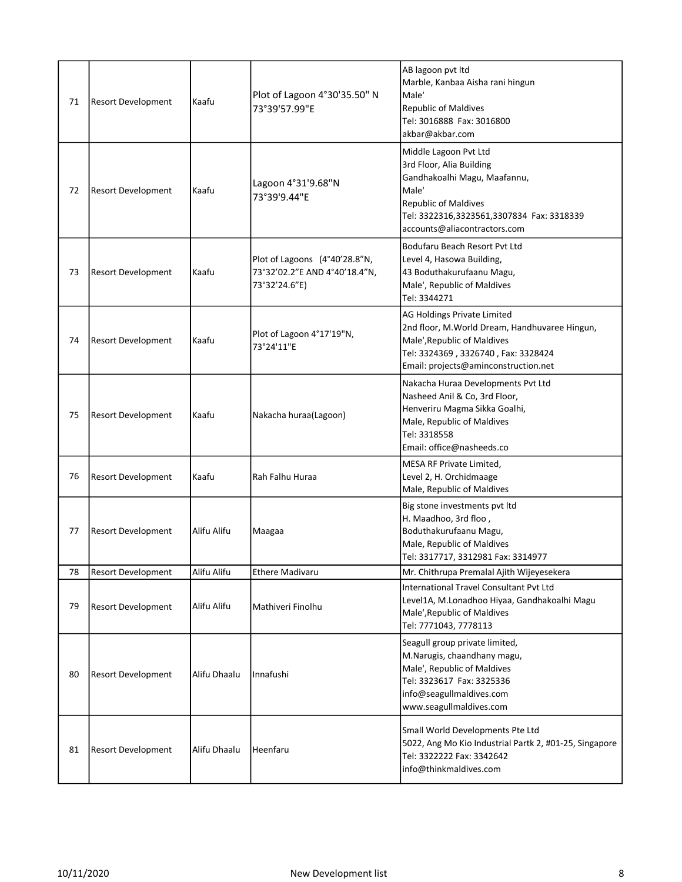| 71 | <b>Resort Development</b> | Kaafu        | Plot of Lagoon 4°30'35.50" N<br>73°39'57.99"E                                   | AB lagoon pvt ltd<br>Marble, Kanbaa Aisha rani hingun<br>Male'<br><b>Republic of Maldives</b><br>Tel: 3016888 Fax: 3016800<br>akbar@akbar.com                                                          |
|----|---------------------------|--------------|---------------------------------------------------------------------------------|--------------------------------------------------------------------------------------------------------------------------------------------------------------------------------------------------------|
| 72 | <b>Resort Development</b> | Kaafu        | Lagoon 4°31'9.68"N<br>73°39'9.44"E                                              | Middle Lagoon Pvt Ltd<br>3rd Floor, Alia Building<br>Gandhakoalhi Magu, Maafannu,<br>Male'<br><b>Republic of Maldives</b><br>Tel: 3322316,3323561,3307834 Fax: 3318339<br>accounts@aliacontractors.com |
| 73 | <b>Resort Development</b> | Kaafu        | Plot of Lagoons (4°40'28.8"N,<br>73°32'02.2"E AND 4°40'18.4"N,<br>73°32'24.6"E) | Bodufaru Beach Resort Pyt Ltd<br>Level 4, Hasowa Building,<br>43 Boduthakurufaanu Magu,<br>Male', Republic of Maldives<br>Tel: 3344271                                                                 |
| 74 | <b>Resort Development</b> | Kaafu        | Plot of Lagoon 4°17'19"N,<br>73°24'11"E                                         | AG Holdings Private Limited<br>2nd floor, M.World Dream, Handhuvaree Hingun,<br>Male', Republic of Maldives<br>Tel: 3324369, 3326740, Fax: 3328424<br>Email: projects@aminconstruction.net             |
| 75 | <b>Resort Development</b> | Kaafu        | Nakacha huraa(Lagoon)                                                           | Nakacha Huraa Developments Pvt Ltd<br>Nasheed Anil & Co, 3rd Floor,<br>Henveriru Magma Sikka Goalhi,<br>Male, Republic of Maldives<br>Tel: 3318558<br>Email: office@nasheeds.co                        |
| 76 | <b>Resort Development</b> | Kaafu        | Rah Falhu Huraa                                                                 | MESA RF Private Limited,<br>Level 2, H. Orchidmaage<br>Male, Republic of Maldives                                                                                                                      |
| 77 | <b>Resort Development</b> | Alifu Alifu  | Maagaa                                                                          | Big stone investments pvt ltd<br>H. Maadhoo, 3rd floo,<br>Boduthakurufaanu Magu,<br>Male, Republic of Maldives<br>Tel: 3317717, 3312981 Fax: 3314977                                                   |
| 78 | <b>Resort Development</b> | Alifu Alifu  | <b>Ethere Madivaru</b>                                                          | Mr. Chithrupa Premalal Ajith Wijeyesekera                                                                                                                                                              |
| 79 | <b>Resort Development</b> | Alifu Alifu  | Mathiveri Finolhu                                                               | International Travel Consultant Pvt Ltd<br>Level1A, M.Lonadhoo Hiyaa, Gandhakoalhi Magu<br>Male', Republic of Maldives<br>Tel: 7771043, 7778113                                                        |
| 80 | <b>Resort Development</b> | Alifu Dhaalu | Innafushi                                                                       | Seagull group private limited,<br>M.Narugis, chaandhany magu,<br>Male', Republic of Maldives<br>Tel: 3323617 Fax: 3325336<br>info@seagullmaldives.com<br>www.seagullmaldives.com                       |
| 81 | <b>Resort Development</b> | Alifu Dhaalu | Heenfaru                                                                        | Small World Developments Pte Ltd<br>5022, Ang Mo Kio Industrial Partk 2, #01-25, Singapore<br>Tel: 3322222 Fax: 3342642<br>info@thinkmaldives.com                                                      |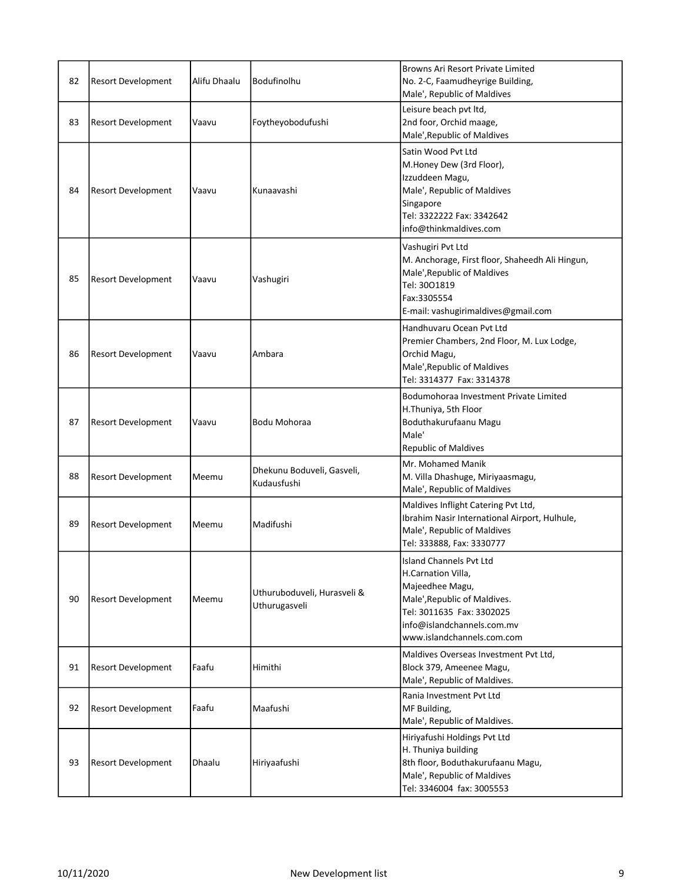| 82 | <b>Resort Development</b> | Alifu Dhaalu | Bodufinolhu                                  | <b>Browns Ari Resort Private Limited</b><br>No. 2-C, Faamudheyrige Building,<br>Male', Republic of Maldives                                                                               |
|----|---------------------------|--------------|----------------------------------------------|-------------------------------------------------------------------------------------------------------------------------------------------------------------------------------------------|
| 83 | <b>Resort Development</b> | Vaavu        | Foytheyobodufushi                            | Leisure beach pvt ltd,<br>2nd foor, Orchid maage,<br>Male', Republic of Maldives                                                                                                          |
| 84 | <b>Resort Development</b> | Vaavu        | Kunaavashi                                   | Satin Wood Pvt Ltd<br>M.Honey Dew (3rd Floor),<br>Izzuddeen Magu,<br>Male', Republic of Maldives<br>Singapore<br>Tel: 3322222 Fax: 3342642<br>info@thinkmaldives.com                      |
| 85 | <b>Resort Development</b> | Vaavu        | Vashugiri                                    | Vashugiri Pvt Ltd<br>M. Anchorage, First floor, Shaheedh Ali Hingun,<br>Male', Republic of Maldives<br>Tel: 3001819<br>Fax:3305554<br>E-mail: vashugirimaldives@gmail.com                 |
| 86 | <b>Resort Development</b> | Vaavu        | Ambara                                       | Handhuvaru Ocean Pvt Ltd<br>Premier Chambers, 2nd Floor, M. Lux Lodge,<br>Orchid Magu,<br>Male', Republic of Maldives<br>Tel: 3314377 Fax: 3314378                                        |
| 87 | <b>Resort Development</b> | Vaavu        | Bodu Mohoraa                                 | Bodumohoraa Investment Private Limited<br>H.Thuniya, 5th Floor<br>Boduthakurufaanu Magu<br>Male'<br><b>Republic of Maldives</b>                                                           |
| 88 | <b>Resort Development</b> | Meemu        | Dhekunu Boduveli, Gasveli,<br>Kudausfushi    | Mr. Mohamed Manik<br>M. Villa Dhashuge, Miriyaasmagu,<br>Male', Republic of Maldives                                                                                                      |
| 89 | <b>Resort Development</b> | Meemu        | Madifushi                                    | Maldives Inflight Catering Pvt Ltd,<br>Ibrahim Nasir International Airport, Hulhule,<br>Male', Republic of Maldives<br>Tel: 333888, Fax: 3330777                                          |
| 90 | <b>Resort Development</b> | Meemu        | Uthuruboduveli, Hurasveli &<br>Uthurugasveli | Island Channels Pvt Ltd<br>H.Carnation Villa,<br>Majeedhee Magu,<br>Male', Republic of Maldives.<br>Tel: 3011635 Fax: 3302025<br>info@islandchannels.com.mv<br>www.islandchannels.com.com |
| 91 | <b>Resort Development</b> | Faafu        | Himithi                                      | Maldives Overseas Investment Pvt Ltd,<br>Block 379, Ameenee Magu,<br>Male', Republic of Maldives.                                                                                         |
| 92 | <b>Resort Development</b> | Faafu        | Maafushi                                     | Rania Investment Pvt Ltd<br>MF Building,<br>Male', Republic of Maldives.                                                                                                                  |
| 93 | <b>Resort Development</b> | Dhaalu       | Hiriyaafushi                                 | Hiriyafushi Holdings Pvt Ltd<br>H. Thuniya building<br>8th floor, Boduthakurufaanu Magu,<br>Male', Republic of Maldives<br>Tel: 3346004 fax: 3005553                                      |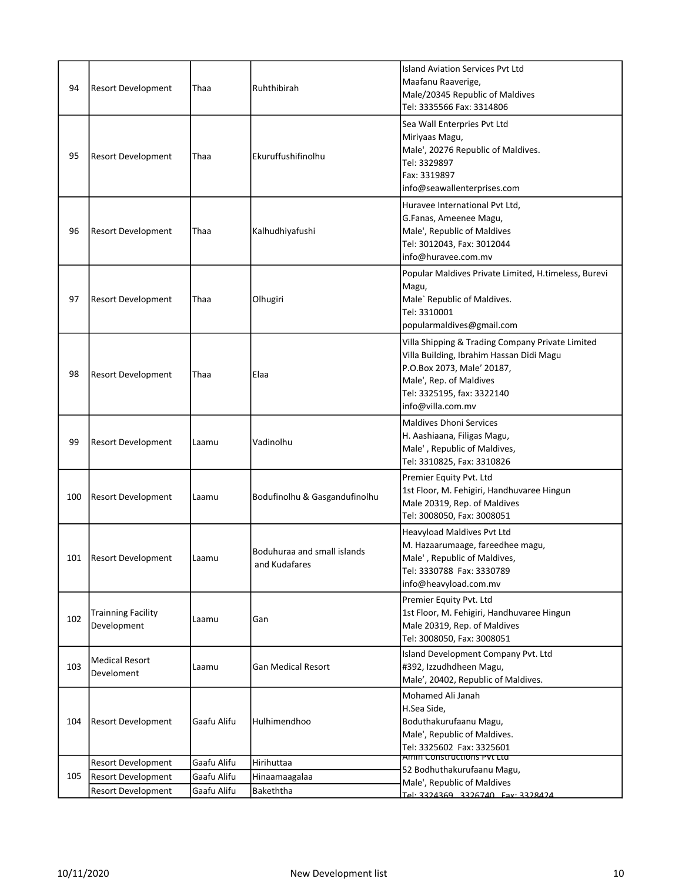| 94  | <b>Resort Development</b>                | Thaa        | Ruhthibirah                                  | <b>Island Aviation Services Pyt Ltd</b><br>Maafanu Raaverige,<br>Male/20345 Republic of Maldives<br>Tel: 3335566 Fax: 3314806                                                                            |
|-----|------------------------------------------|-------------|----------------------------------------------|----------------------------------------------------------------------------------------------------------------------------------------------------------------------------------------------------------|
| 95  | <b>Resort Development</b>                | Thaa        | Ekuruffushifinolhu                           | Sea Wall Enterpries Pvt Ltd<br>Miriyaas Magu,<br>Male', 20276 Republic of Maldives.<br>Tel: 3329897<br>Fax: 3319897<br>info@seawallenterprises.com                                                       |
| 96  | <b>Resort Development</b>                | Thaa        | Kalhudhiyafushi                              | Huravee International Pvt Ltd,<br>G.Fanas, Ameenee Magu,<br>Male', Republic of Maldives<br>Tel: 3012043, Fax: 3012044<br>info@huravee.com.mv                                                             |
| 97  | Resort Development                       | Thaa        | Olhugiri                                     | Popular Maldives Private Limited, H.timeless, Burevi<br>Magu,<br>Male' Republic of Maldives.<br>Tel: 3310001<br>popularmaldives@gmail.com                                                                |
| 98  | <b>Resort Development</b>                | Thaa        | Elaa                                         | Villa Shipping & Trading Company Private Limited<br>Villa Building, Ibrahim Hassan Didi Magu<br>P.O.Box 2073, Male' 20187,<br>Male', Rep. of Maldives<br>Tel: 3325195, fax: 3322140<br>info@villa.com.mv |
| 99  | <b>Resort Development</b>                | Laamu       | Vadinolhu                                    | <b>Maldives Dhoni Services</b><br>H. Aashiaana, Filigas Magu,<br>Male', Republic of Maldives,<br>Tel: 3310825, Fax: 3310826                                                                              |
| 100 | <b>Resort Development</b>                | Laamu       | Bodufinolhu & Gasgandufinolhu                | Premier Equity Pvt. Ltd<br>1st Floor, M. Fehigiri, Handhuvaree Hingun<br>Male 20319, Rep. of Maldives<br>Tel: 3008050, Fax: 3008051                                                                      |
|     | 101   Resort Development                 | Laamu       | Boduhuraa and small islands<br>and Kudafares | Heavyload Maldives Pvt Ltd<br>M. Hazaarumaage, fareedhee magu,<br>Male', Republic of Maldives,<br>Tel: 3330788 Fax: 3330789<br>info@heavyload.com.mv                                                     |
| 102 | <b>Trainning Facility</b><br>Development | Laamu       | Gan                                          | Premier Equity Pvt. Ltd<br>1st Floor, M. Fehigiri, Handhuvaree Hingun<br>Male 20319, Rep. of Maldives<br>Tel: 3008050, Fax: 3008051                                                                      |
| 103 | <b>Medical Resort</b><br>Develoment      | Laamu       | Gan Medical Resort                           | Island Development Company Pvt. Ltd<br>#392, Izzudhdheen Magu,<br>Male', 20402, Republic of Maldives.                                                                                                    |
| 104 | <b>Resort Development</b>                | Gaafu Alifu | Hulhimendhoo                                 | Mohamed Ali Janah<br>H.Sea Side,<br>Boduthakurufaanu Magu,<br>Male', Republic of Maldives.<br>Tel: 3325602 Fax: 3325601                                                                                  |
|     | <b>Resort Development</b>                | Gaafu Alifu | Hirihuttaa                                   | Amin Constructions PVt Ltd<br>52 Bodhuthakurufaanu Magu,                                                                                                                                                 |
| 105 | <b>Resort Development</b>                | Gaafu Alifu | Hinaamaagalaa                                | Male', Republic of Maldives                                                                                                                                                                              |
|     | <b>Resort Development</b>                | Gaafu Alifu | Bakeththa                                    | Tel: 3324369 3326740 Fax: 3328424                                                                                                                                                                        |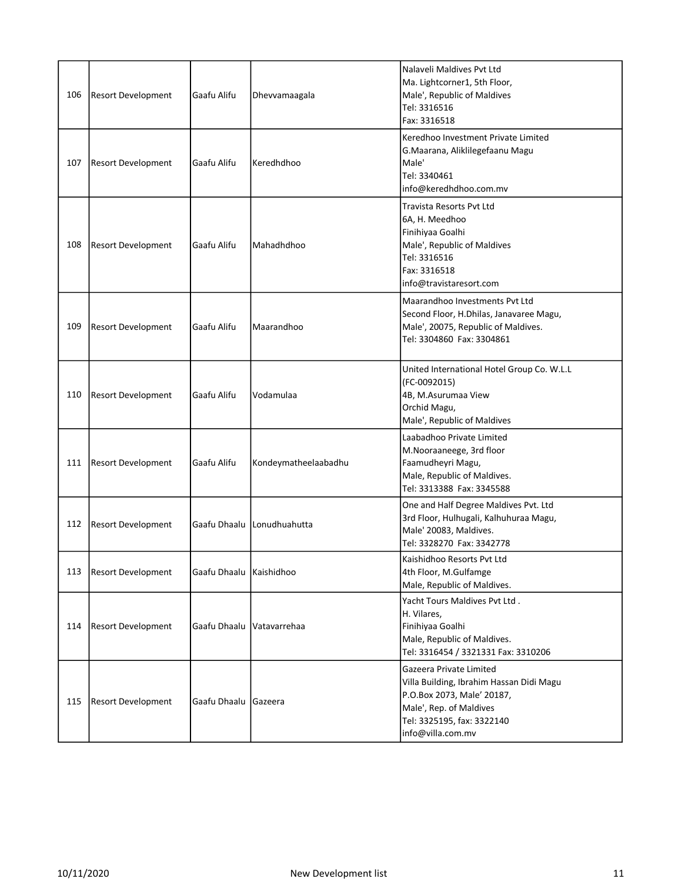| 106 | <b>Resort Development</b> | Gaafu Alifu             | Dhevvamaagala               | Nalaveli Maldives Pvt Ltd<br>Ma. Lightcorner1, 5th Floor,<br>Male', Republic of Maldives<br>Tel: 3316516<br>Fax: 3316518                                                        |
|-----|---------------------------|-------------------------|-----------------------------|---------------------------------------------------------------------------------------------------------------------------------------------------------------------------------|
| 107 | <b>Resort Development</b> | Gaafu Alifu             | Keredhdhoo                  | Keredhoo Investment Private Limited<br>G.Maarana, Aliklilegefaanu Magu<br>Male'<br>Tel: 3340461<br>info@keredhdhoo.com.mv                                                       |
| 108 | <b>Resort Development</b> | Gaafu Alifu             | Mahadhdhoo                  | <b>Travista Resorts Pyt Ltd</b><br>6A, H. Meedhoo<br>Finihiyaa Goalhi<br>Male', Republic of Maldives<br>Tel: 3316516<br>Fax: 3316518<br>info@travistaresort.com                 |
| 109 | <b>Resort Development</b> | Gaafu Alifu             | Maarandhoo                  | Maarandhoo Investments Pvt Ltd<br>Second Floor, H.Dhilas, Janavaree Magu,<br>Male', 20075, Republic of Maldives.<br>Tel: 3304860 Fax: 3304861                                   |
| 110 | <b>Resort Development</b> | Gaafu Alifu             | Vodamulaa                   | United International Hotel Group Co. W.L.L<br>(FC-0092015)<br>4B, M.Asurumaa View<br>Orchid Magu,<br>Male', Republic of Maldives                                                |
| 111 | <b>Resort Development</b> | Gaafu Alifu             | Kondeymatheelaabadhu        | Laabadhoo Private Limited<br>M.Nooraaneege, 3rd floor<br>Faamudheyri Magu,<br>Male, Republic of Maldives.<br>Tel: 3313388 Fax: 3345588                                          |
| 112 | <b>Resort Development</b> | Gaafu Dhaalu            | Lonudhuahutta               | One and Half Degree Maldives Pvt. Ltd<br>3rd Floor, Hulhugali, Kalhuhuraa Magu,<br>Male' 20083, Maldives.<br>Tel: 3328270 Fax: 3342778                                          |
| 113 | <b>Resort Development</b> | Gaafu Dhaalu Kaishidhoo |                             | Kaishidhoo Resorts Pvt Ltd<br>4th Floor, M.Gulfamge<br>Male, Republic of Maldives.                                                                                              |
| 114 | <b>Resort Development</b> |                         | Gaafu Dhaalu   Vatavarrehaa | Yacht Tours Maldives Pvt Ltd.<br>H. Vilares,<br>Finihiyaa Goalhi<br>Male, Republic of Maldives.<br>Tel: 3316454 / 3321331 Fax: 3310206                                          |
| 115 | <b>Resort Development</b> | Gaafu Dhaalu            | <b>Gazeera</b>              | Gazeera Private Limited<br>Villa Building, Ibrahim Hassan Didi Magu<br>P.O.Box 2073, Male' 20187,<br>Male', Rep. of Maldives<br>Tel: 3325195, fax: 3322140<br>info@villa.com.mv |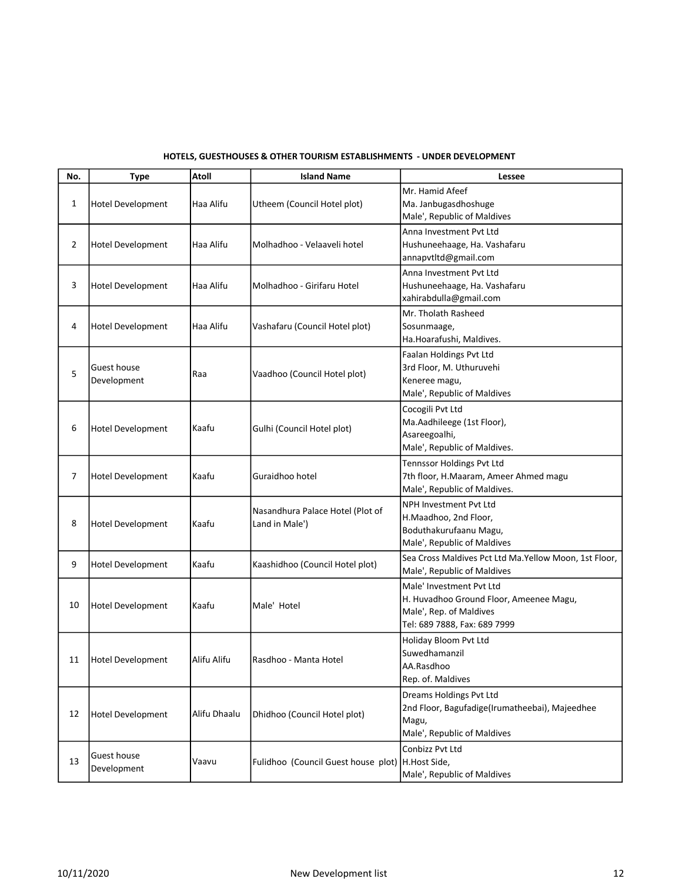| No. | <b>Type</b>                | <b>Atoll</b> | <b>Island Name</b>                                  | Lessee                                                                                                                         |
|-----|----------------------------|--------------|-----------------------------------------------------|--------------------------------------------------------------------------------------------------------------------------------|
| 1   | <b>Hotel Development</b>   | Haa Alifu    | Utheem (Council Hotel plot)                         | Mr. Hamid Afeef<br>Ma. Janbugasdhoshuge<br>Male', Republic of Maldives                                                         |
| 2   | Hotel Development          | Haa Alifu    | Molhadhoo - Velaaveli hotel                         | Anna Investment Pvt Ltd<br>Hushuneehaage, Ha. Vashafaru<br>annapvtltd@gmail.com                                                |
| 3   | <b>Hotel Development</b>   | Haa Alifu    | Molhadhoo - Girifaru Hotel                          | Anna Investment Pvt Ltd<br>Hushuneehaage, Ha. Vashafaru<br>xahirabdulla@gmail.com                                              |
| 4   | <b>Hotel Development</b>   | Haa Alifu    | Vashafaru (Council Hotel plot)                      | Mr. Tholath Rasheed<br>Sosunmaage,<br>Ha.Hoarafushi, Maldives.                                                                 |
| 5   | Guest house<br>Development | Raa          | Vaadhoo (Council Hotel plot)                        | Faalan Holdings Pvt Ltd<br>3rd Floor, M. Uthuruvehi<br>Keneree magu,<br>Male', Republic of Maldives                            |
| 6   | Hotel Development          | Kaafu        | Gulhi (Council Hotel plot)                          | Cocogili Pvt Ltd<br>Ma.Aadhileege (1st Floor),<br>Asareegoalhi,<br>Male', Republic of Maldives.                                |
| 7   | Hotel Development          | Kaafu        | Guraidhoo hotel                                     | <b>Tennssor Holdings Pvt Ltd</b><br>7th floor, H.Maaram, Ameer Ahmed magu<br>Male', Republic of Maldives.                      |
| 8   | Hotel Development          | Kaafu        | Nasandhura Palace Hotel (Plot of<br>Land in Male')  | <b>NPH Investment Pvt Ltd</b><br>H.Maadhoo, 2nd Floor,<br>Boduthakurufaanu Magu,<br>Male', Republic of Maldives                |
| 9   | Hotel Development          | Kaafu        | Kaashidhoo (Council Hotel plot)                     | Sea Cross Maldives Pct Ltd Ma.Yellow Moon, 1st Floor,<br>Male', Republic of Maldives                                           |
| 10  | <b>Hotel Development</b>   | Kaafu        | Male' Hotel                                         | Male' Investment Pvt Ltd<br>H. Huvadhoo Ground Floor, Ameenee Magu,<br>Male', Rep. of Maldives<br>Tel: 689 7888, Fax: 689 7999 |
| 11  | <b>Hotel Development</b>   | Alifu Alifu  | Rasdhoo - Manta Hotel                               | Holiday Bloom Pvt Ltd<br>Suwedhamanzil<br>AA.Rasdhoo<br>Rep. of. Maldives                                                      |
| 12  | <b>Hotel Development</b>   | Alifu Dhaalu | Dhidhoo (Council Hotel plot)                        | Dreams Holdings Pvt Ltd<br>2nd Floor, Bagufadige(Irumatheebai), Majeedhee<br>Magu,<br>Male', Republic of Maldives              |
| 13  | Guest house<br>Development | Vaavu        | Fulidhoo (Council Guest house plot)   H. Host Side, | Conbizz Pvt Ltd<br>Male', Republic of Maldives                                                                                 |

## HOTELS, GUESTHOUSES & OTHER TOURISM ESTABLISHMENTS - UNDER DEVELOPMENT